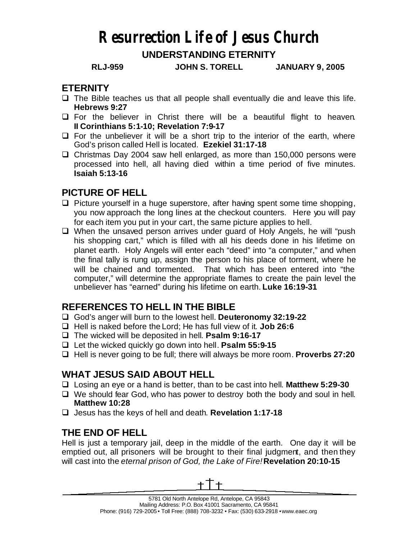# **Resurrection Life of Jesus Church**

# **UNDERSTANDING ETERNITY**

**RLJ-959 JOHN S. TORELL JANUARY 9, 2005**

#### **ETERNITY**

- $\Box$  The Bible teaches us that all people shall eventually die and leave this life. **Hebrews 9:27**
- $\Box$  For the believer in Christ there will be a beautiful flight to heaven. **II Corinthians 5:1-10; Revelation 7:9-17**
- $\Box$  For the unbeliever it will be a short trip to the interior of the earth, where God's prison called Hell is located. **Ezekiel 31:17-18**
- $\Box$  Christmas Day 2004 saw hell enlarged, as more than 150,000 persons were processed into hell, all having died within a time period of five minutes. **Isaiah 5:13-16**

#### **PICTURE OF HELL**

- $\Box$  Picture yourself in a huge superstore, after having spent some time shopping, you now approach the long lines at the checkout counters. Here you will pay for each item you put in your cart, the same picture applies to hell.
- $\Box$  When the unsaved person arrives under guard of Holy Angels, he will "push" his shopping cart," which is filled with all his deeds done in his lifetime on planet earth. Holy Angels will enter each "deed" into "a computer," and when the final tally is rung up, assign the person to his place of torment, where he will be chained and tormented. That which has been entered into "the computer," will determine the appropriate flames to create the pain level the unbeliever has "earned" during his lifetime on earth. **Luke 16:19-31**

# **REFERENCES TO HELL IN THE BIBLE**

- q God's anger will burn to the lowest hell. **Deuteronomy 32:19-22**
- q Hell is naked before the Lord; He has full view of it. **Job 26:6**
- q The wicked will be deposited in hell. **Psalm 9:16-17**
- q Let the wicked quickly go down into hell. **Psalm 55:9-15**
- **Q** Hell is never going to be full; there will always be more room. **Proverbs 27:20**

# **WHAT JESUS SAID ABOUT HELL**

- q Losing an eye or a hand is better, than to be cast into hell. **Matthew 5:29-30**
- $\Box$  We should fear God, who has power to destroy both the body and soul in hell. **Matthew 10:28**
- q Jesus has the keys of hell and death. **Revelation 1:17-18**

# **THE END OF HELL**

Hell is just a temporary jail, deep in the middle of the earth. One day it will be emptied out, all prisoners will be brought to their final judgment, and then they will cast into the *eternal prison of God, the Lake of Fire!***Revelation 20:10-15**